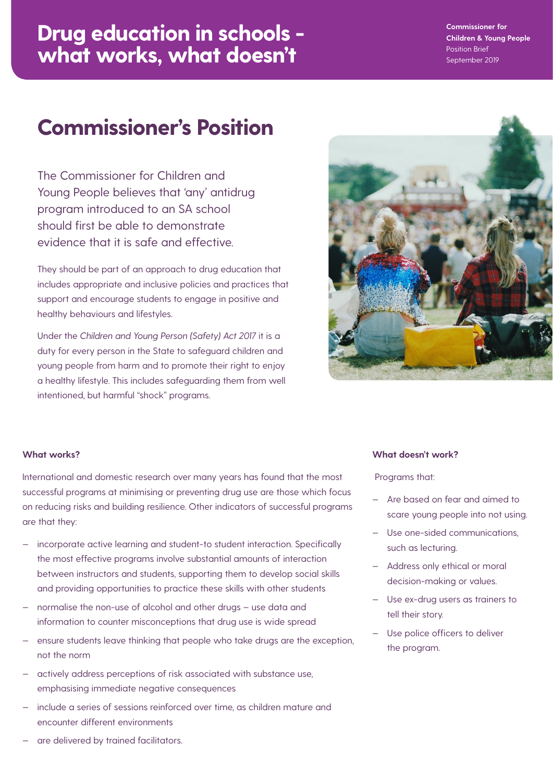### **Drug education in schools what works, what doesn't**

**Commissioner for Children & Young People** Position Brief September 2019

# **Commissioner's Position**

The Commissioner for Children and Young People believes that 'any' antidrug program introduced to an SA school should first be able to demonstrate evidence that it is safe and effective.

They should be part of an approach to drug education that includes appropriate and inclusive policies and practices that support and encourage students to engage in positive and healthy behaviours and lifestyles.

Under the *Children and Young Person (Safety) Act 2017* it is a duty for every person in the State to safeguard children and young people from harm and to promote their right to enjoy a healthy lifestyle. This includes safeguarding them from well intentioned, but harmful "shock" programs.



#### **What works?**

International and domestic research over many years has found that the most successful programs at minimising or preventing drug use are those which focus on reducing risks and building resilience. Other indicators of successful programs are that they:

- incorporate active learning and student-to student interaction. Specifically the most effective programs involve substantial amounts of interaction between instructors and students, supporting them to develop social skills and providing opportunities to practice these skills with other students
- normalise the non-use of alcohol and other drugs use data and information to counter misconceptions that drug use is wide spread
- ensure students leave thinking that people who take drugs are the exception, not the norm
- actively address perceptions of risk associated with substance use, emphasising immediate negative consequences
- include a series of sessions reinforced over time, as children mature and encounter different environments

#### **What doesn't work?**

Programs that:

- Are based on fear and aimed to scare young people into not using.
- Use one-sided communications, such as lecturing.
- Address only ethical or moral decision-making or values.
- Use ex-drug users as trainers to tell their story.
- Use police officers to deliver the program.

are delivered by trained facilitators.